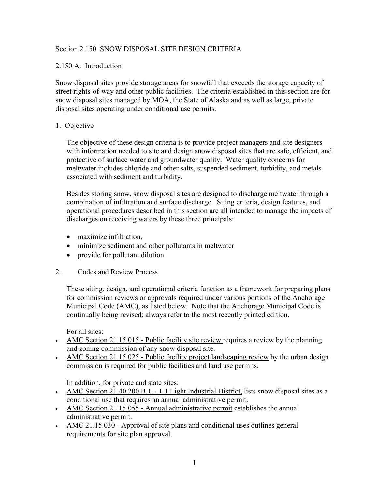# Section 2.150 SNOW DISPOSAL SITE DESIGN CRITERIA

# 2.150 A. Introduction

Snow disposal sites provide storage areas for snowfall that exceeds the storage capacity of street rights-of-way and other public facilities. The criteria established in this section are for snow disposal sites managed by MOA, the State of Alaska and as well as large, private disposal sites operating under conditional use permits.

# 1. Objective

The objective of these design criteria is to provide project managers and site designers with information needed to site and design snow disposal sites that are safe, efficient, and protective of surface water and groundwater quality. Water quality concerns for meltwater includes chloride and other salts, suspended sediment, turbidity, and metals associated with sediment and turbidity.

Besides storing snow, snow disposal sites are designed to discharge meltwater through a combination of infiltration and surface discharge. Siting criteria, design features, and operational procedures described in this section are all intended to manage the impacts of discharges on receiving waters by these three principals:

- maximize infiltration,
- minimize sediment and other pollutants in meltwater
- provide for pollutant dilution.
- 2. Codes and Review Process

These siting, design, and operational criteria function as a framework for preparing plans for commission reviews or approvals required under various portions of the Anchorage Municipal Code (AMC), as listed below. Note that the Anchorage Municipal Code is continually being revised; always refer to the most recently printed edition.

For all sites:

- AMC Section 21.15.015 Public facility site review requires a review by the planning and zoning commission of any snow disposal site.
- AMC Section 21.15.025 Public facility project landscaping review by the urban design commission is required for public facilities and land use permits.

In addition, for private and state sites:

- AMC Section 21.40.200.B.1. I-1 Light Industrial District, lists snow disposal sites as a conditional use that requires an annual administrative permit.
- AMC Section 21.15.055 Annual administrative permit establishes the annual administrative permit.
- AMC 21.15.030 Approval of site plans and conditional uses outlines general requirements for site plan approval.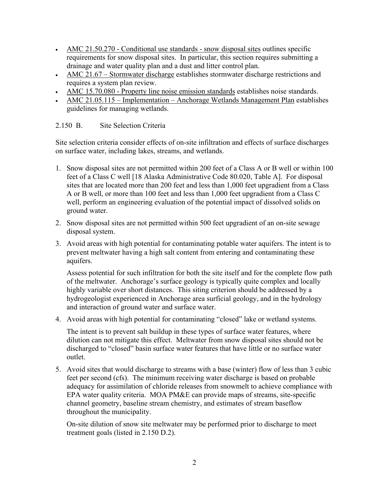- AMC 21.50.270 Conditional use standards snow disposal sites outlines specific requirements for snow disposal sites. In particular, this section requires submitting a drainage and water quality plan and a dust and litter control plan.
- AMC 21.67 Stormwater discharge establishes stormwater discharge restrictions and requires a system plan review.
- AMC 15.70.080 Property line noise emission standards establishes noise standards.
- AMC 21.05.115 Implementation Anchorage Wetlands Management Plan establishes guidelines for managing wetlands.

# 2.150 B. Site Selection Criteria

Site selection criteria consider effects of on-site infiltration and effects of surface discharges on surface water, including lakes, streams, and wetlands.

- 1. Snow disposal sites are not permitted within 200 feet of a Class A or B well or within 100 feet of a Class C well [18 Alaska Administrative Code 80.020, Table A]. For disposal sites that are located more than 200 feet and less than 1,000 feet upgradient from a Class A or B well, or more than 100 feet and less than 1,000 feet upgradient from a Class C well, perform an engineering evaluation of the potential impact of dissolved solids on ground water.
- 2. Snow disposal sites are not permitted within 500 feet upgradient of an on-site sewage disposal system.
- 3. Avoid areas with high potential for contaminating potable water aquifers. The intent is to prevent meltwater having a high salt content from entering and contaminating these aquifers.

Assess potential for such infiltration for both the site itself and for the complete flow path of the meltwater. Anchorage's surface geology is typically quite complex and locally highly variable over short distances. This siting criterion should be addressed by a hydrogeologist experienced in Anchorage area surficial geology, and in the hydrology and interaction of ground water and surface water.

4. Avoid areas with high potential for contaminating "closed" lake or wetland systems.

The intent is to prevent salt buildup in these types of surface water features, where dilution can not mitigate this effect. Meltwater from snow disposal sites should not be discharged to "closed" basin surface water features that have little or no surface water outlet.

5. Avoid sites that would discharge to streams with a base (winter) flow of less than 3 cubic feet per second (cfs). The minimum receiving water discharge is based on probable adequacy for assimilation of chloride releases from snowmelt to achieve compliance with EPA water quality criteria. MOA PM&E can provide maps of streams, site-specific channel geometry, baseline stream chemistry, and estimates of stream baseflow throughout the municipality.

On-site dilution of snow site meltwater may be performed prior to discharge to meet treatment goals (listed in 2.150 D.2).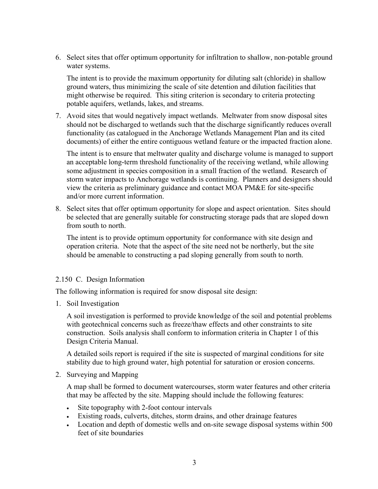6. Select sites that offer optimum opportunity for infiltration to shallow, non-potable ground water systems.

The intent is to provide the maximum opportunity for diluting salt (chloride) in shallow ground waters, thus minimizing the scale of site detention and dilution facilities that might otherwise be required. This siting criterion is secondary to criteria protecting potable aquifers, wetlands, lakes, and streams.

7. Avoid sites that would negatively impact wetlands. Meltwater from snow disposal sites should not be discharged to wetlands such that the discharge significantly reduces overall functionality (as catalogued in the Anchorage Wetlands Management Plan and its cited documents) of either the entire contiguous wetland feature or the impacted fraction alone.

The intent is to ensure that meltwater quality and discharge volume is managed to support an acceptable long-term threshold functionality of the receiving wetland, while allowing some adjustment in species composition in a small fraction of the wetland. Research of storm water impacts to Anchorage wetlands is continuing. Planners and designers should view the criteria as preliminary guidance and contact MOA PM&E for site-specific and/or more current information.

8. Select sites that offer optimum opportunity for slope and aspect orientation. Sites should be selected that are generally suitable for constructing storage pads that are sloped down from south to north.

The intent is to provide optimum opportunity for conformance with site design and operation criteria. Note that the aspect of the site need not be northerly, but the site should be amenable to constructing a pad sloping generally from south to north.

#### 2.150 C. Design Information

The following information is required for snow disposal site design:

1. Soil Investigation

A soil investigation is performed to provide knowledge of the soil and potential problems with geotechnical concerns such as freeze/thaw effects and other constraints to site construction. Soils analysis shall conform to information criteria in Chapter 1 of this Design Criteria Manual.

A detailed soils report is required if the site is suspected of marginal conditions for site stability due to high ground water, high potential for saturation or erosion concerns.

2. Surveying and Mapping

A map shall be formed to document watercourses, storm water features and other criteria that may be affected by the site. Mapping should include the following features:

- Site topography with 2-foot contour intervals
- Existing roads, culverts, ditches, storm drains, and other drainage features
- Location and depth of domestic wells and on-site sewage disposal systems within 500 feet of site boundaries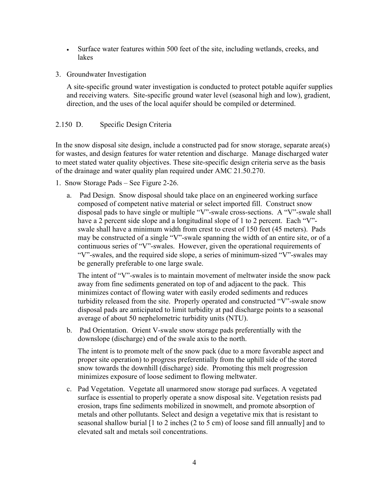- Surface water features within 500 feet of the site, including wetlands, creeks, and lakes
- 3. Groundwater Investigation

A site-specific ground water investigation is conducted to protect potable aquifer supplies and receiving waters. Site-specific ground water level (seasonal high and low), gradient, direction, and the uses of the local aquifer should be compiled or determined.

## 2.150 D. Specific Design Criteria

In the snow disposal site design, include a constructed pad for snow storage, separate area(s) for wastes, and design features for water retention and discharge. Manage discharged water to meet stated water quality objectives. These site-specific design criteria serve as the basis of the drainage and water quality plan required under AMC 21.50.270.

- 1. Snow Storage Pads See Figure 2-26.
	- a. Pad Design. Snow disposal should take place on an engineered working surface composed of competent native material or select imported fill. Construct snow disposal pads to have single or multiple "V"-swale cross-sections. A "V"-swale shall have a 2 percent side slope and a longitudinal slope of 1 to 2 percent. Each "V"swale shall have a minimum width from crest to crest of 150 feet (45 meters). Pads may be constructed of a single "V"-swale spanning the width of an entire site, or of a continuous series of "V"-swales. However, given the operational requirements of "V"-swales, and the required side slope, a series of minimum-sized "V"-swales may be generally preferable to one large swale.

The intent of "V"-swales is to maintain movement of meltwater inside the snow pack away from fine sediments generated on top of and adjacent to the pack. This minimizes contact of flowing water with easily eroded sediments and reduces turbidity released from the site. Properly operated and constructed "V"-swale snow disposal pads are anticipated to limit turbidity at pad discharge points to a seasonal average of about 50 nephelometric turbidity units (NTU).

b. Pad Orientation. Orient V-swale snow storage pads preferentially with the downslope (discharge) end of the swale axis to the north.

The intent is to promote melt of the snow pack (due to a more favorable aspect and proper site operation) to progress preferentially from the uphill side of the stored snow towards the downhill (discharge) side. Promoting this melt progression minimizes exposure of loose sediment to flowing meltwater.

c. Pad Vegetation. Vegetate all unarmored snow storage pad surfaces. A vegetated surface is essential to properly operate a snow disposal site. Vegetation resists pad erosion, traps fine sediments mobilized in snowmelt, and promote absorption of metals and other pollutants. Select and design a vegetative mix that is resistant to seasonal shallow burial [1 to 2 inches (2 to 5 cm) of loose sand fill annually] and to elevated salt and metals soil concentrations.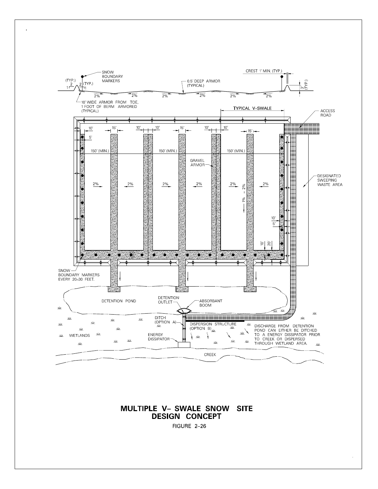

**MULTIPLE V- SWALE SNOW SITE DESIGN CONCEPT** 

FIGURE 2-26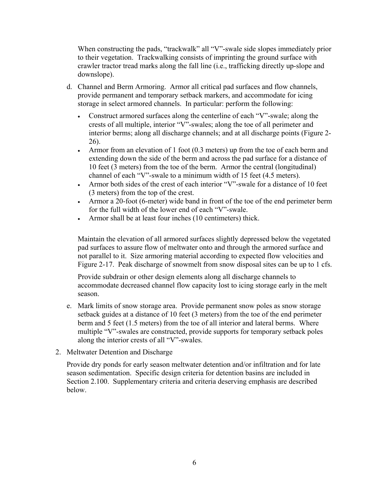When constructing the pads, "trackwalk" all "V"-swale side slopes immediately prior to their vegetation. Trackwalking consists of imprinting the ground surface with crawler tractor tread marks along the fall line (i.e., trafficking directly up-slope and downslope).

- d. Channel and Berm Armoring. Armor all critical pad surfaces and flow channels, provide permanent and temporary setback markers, and accommodate for icing storage in select armored channels. In particular: perform the following:
	- Construct armored surfaces along the centerline of each "V"-swale; along the crests of all multiple, interior "V"-swales; along the toe of all perimeter and interior berms; along all discharge channels; and at all discharge points (Figure 2- 26).
	- Armor from an elevation of 1 foot (0.3 meters) up from the toe of each berm and extending down the side of the berm and across the pad surface for a distance of 10 feet (3 meters) from the toe of the berm. Armor the central (longitudinal) channel of each "V"-swale to a minimum width of 15 feet (4.5 meters).
	- Armor both sides of the crest of each interior "V"-swale for a distance of 10 feet (3 meters) from the top of the crest.
	- Armor a 20-foot (6-meter) wide band in front of the toe of the end perimeter berm for the full width of the lower end of each "V"-swale.
	- Armor shall be at least four inches (10 centimeters) thick.

Maintain the elevation of all armored surfaces slightly depressed below the vegetated pad surfaces to assure flow of meltwater onto and through the armored surface and not parallel to it. Size armoring material according to expected flow velocities and Figure 2-17. Peak discharge of snowmelt from snow disposal sites can be up to 1 cfs.

Provide subdrain or other design elements along all discharge channels to accommodate decreased channel flow capacity lost to icing storage early in the melt season.

- e. Mark limits of snow storage area. Provide permanent snow poles as snow storage setback guides at a distance of 10 feet (3 meters) from the toe of the end perimeter berm and 5 feet (1.5 meters) from the toe of all interior and lateral berms. Where multiple "V"-swales are constructed, provide supports for temporary setback poles along the interior crests of all "V"-swales.
- 2. Meltwater Detention and Discharge

Provide dry ponds for early season meltwater detention and/or infiltration and for late season sedimentation. Specific design criteria for detention basins are included in Section 2.100. Supplementary criteria and criteria deserving emphasis are described below.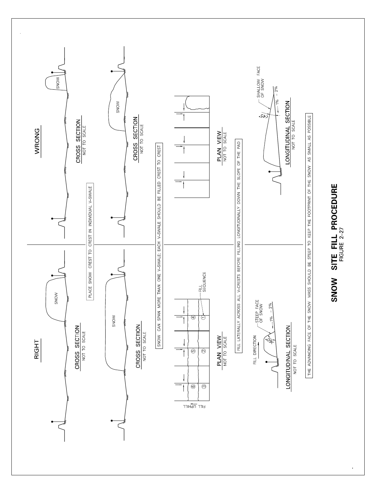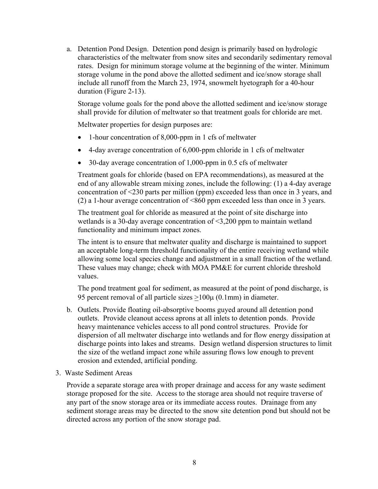a. Detention Pond Design. Detention pond design is primarily based on hydrologic characteristics of the meltwater from snow sites and secondarily sedimentary removal rates. Design for minimum storage volume at the beginning of the winter. Minimum storage volume in the pond above the allotted sediment and ice/snow storage shall include all runoff from the March 23, 1974, snowmelt hyetograph for a 40-hour duration (Figure 2-13).

Storage volume goals for the pond above the allotted sediment and ice/snow storage shall provide for dilution of meltwater so that treatment goals for chloride are met.

Meltwater properties for design purposes are:

- 1-hour concentration of 8,000-ppm in 1 cfs of meltwater
- 4-day average concentration of 6,000-ppm chloride in 1 cfs of meltwater
- 30-day average concentration of 1,000-ppm in 0.5 cfs of meltwater

Treatment goals for chloride (based on EPA recommendations), as measured at the end of any allowable stream mixing zones, include the following: (1) a 4-day average concentration of <230 parts per million (ppm) exceeded less than once in 3 years, and (2) a 1-hour average concentration of <860 ppm exceeded less than once in 3 years.

The treatment goal for chloride as measured at the point of site discharge into wetlands is a 30-day average concentration of <3,200 ppm to maintain wetland functionality and minimum impact zones.

The intent is to ensure that meltwater quality and discharge is maintained to support an acceptable long-term threshold functionality of the entire receiving wetland while allowing some local species change and adjustment in a small fraction of the wetland. These values may change; check with MOA PM&E for current chloride threshold values.

The pond treatment goal for sediment, as measured at the point of pond discharge, is 95 percent removal of all particle sizes >100µ (0.1mm) in diameter.

- b. Outlets. Provide floating oil-absorptive booms guyed around all detention pond outlets. Provide cleanout access aprons at all inlets to detention ponds. Provide heavy maintenance vehicles access to all pond control structures. Provide for dispersion of all meltwater discharge into wetlands and for flow energy dissipation at discharge points into lakes and streams. Design wetland dispersion structures to limit the size of the wetland impact zone while assuring flows low enough to prevent erosion and extended, artificial ponding.
- 3. Waste Sediment Areas

Provide a separate storage area with proper drainage and access for any waste sediment storage proposed for the site. Access to the storage area should not require traverse of any part of the snow storage area or its immediate access routes. Drainage from any sediment storage areas may be directed to the snow site detention pond but should not be directed across any portion of the snow storage pad.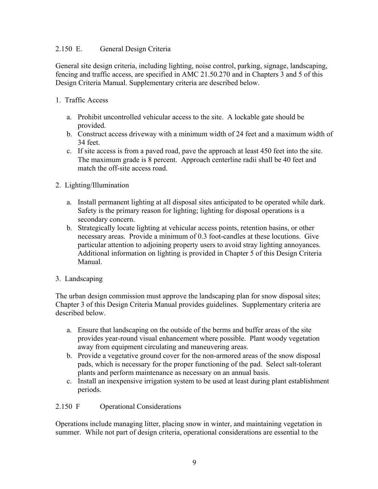## 2.150 E. General Design Criteria

General site design criteria, including lighting, noise control, parking, signage, landscaping, fencing and traffic access, are specified in AMC 21.50.270 and in Chapters 3 and 5 of this Design Criteria Manual. Supplementary criteria are described below.

- 1. Traffic Access
	- a. Prohibit uncontrolled vehicular access to the site. A lockable gate should be provided.
	- b. Construct access driveway with a minimum width of 24 feet and a maximum width of 34 feet.
	- c. If site access is from a paved road, pave the approach at least 450 feet into the site. The maximum grade is 8 percent. Approach centerline radii shall be 40 feet and match the off-site access road.
- 2. Lighting/Illumination
	- a. Install permanent lighting at all disposal sites anticipated to be operated while dark. Safety is the primary reason for lighting; lighting for disposal operations is a secondary concern.
	- b. Strategically locate lighting at vehicular access points, retention basins, or other necessary areas. Provide a minimum of 0.3 foot-candles at these locutions. Give particular attention to adjoining property users to avoid stray lighting annoyances. Additional information on lighting is provided in Chapter 5 of this Design Criteria Manual.
- 3. Landscaping

The urban design commission must approve the landscaping plan for snow disposal sites; Chapter 3 of this Design Criteria Manual provides guidelines. Supplementary criteria are described below.

- a. Ensure that landscaping on the outside of the berms and buffer areas of the site provides year-round visual enhancement where possible. Plant woody vegetation away from equipment circulating and maneuvering areas.
- b. Provide a vegetative ground cover for the non-armored areas of the snow disposal pads, which is necessary for the proper functioning of the pad. Select salt-tolerant plants and perform maintenance as necessary on an annual basis.
- c. Install an inexpensive irrigation system to be used at least during plant establishment periods.

2.150 F Operational Considerations

Operations include managing litter, placing snow in winter, and maintaining vegetation in summer. While not part of design criteria, operational considerations are essential to the